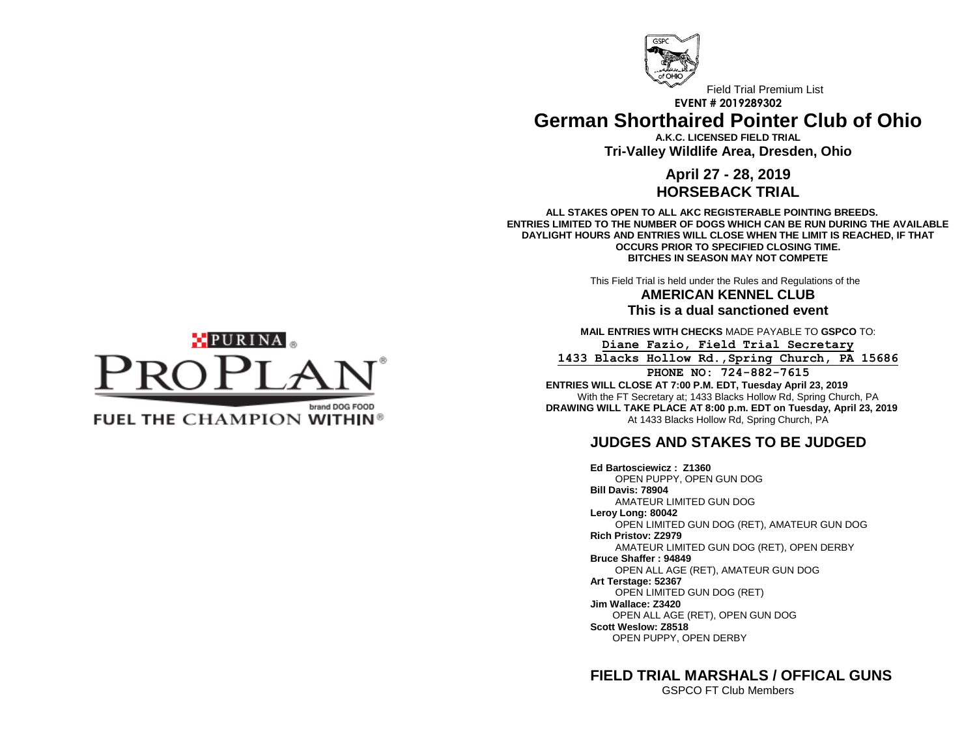

Field Trial Premium List **EVENT # 2019289302 German Shorthaired Pointer Club of Ohio**

> **A.K.C. LICENSED FIELD TRIAL Tri-Valley Wildlife Area, Dresden, Ohio**

## **April 27 - 28, 2019 HORSEBACK TRIAL**

**ALL STAKES OPEN TO ALL AKC REGISTERABLE POINTING BREEDS. ENTRIES LIMITED TO THE NUMBER OF DOGS WHICH CAN BE RUN DURING THE AVAILABLE DAYLIGHT HOURS AND ENTRIES WILL CLOSE WHEN THE LIMIT IS REACHED, IF THAT OCCURS PRIOR TO SPECIFIED CLOSING TIME. BITCHES IN SEASON MAY NOT COMPETE**

This Field Trial is held under the Rules and Regulations of the

**AMERICAN KENNEL CLUB This is a dual sanctioned event**

**MAIL ENTRIES WITH CHECKS** MADE PAYABLE TO **GSPCO** TO: **Diane Fazio, Field Trial Secretary**

**1433 Blacks Hollow Rd.,Spring Church, PA 15686**

**PHONE NO: 724-882-7615 ENTRIES WILL CLOSE AT 7:00 P.M. EDT, Tuesday April 23, 2019** With the FT Secretary at; 1433 Blacks Hollow Rd, Spring Church, PA **DRAWING WILL TAKE PLACE AT 8:00 p.m. EDT on Tuesday, April 23, 2019**

At 1433 Blacks Hollow Rd, Spring Church, PA

# **JUDGES AND STAKES TO BE JUDGED**

**Ed Bartosciewicz : Z1360** OPEN PUPPY, OPEN GUN DOG **Bill Davis: 78904** AMATEUR LIMITED GUN DOG **Leroy Long: 80042** OPEN LIMITED GUN DOG (RET), AMATEUR GUN DOG **Rich Pristov: Z2979** AMATEUR LIMITED GUN DOG (RET), OPEN DERBY **Bruce Shaffer : 94849** OPEN ALL AGE (RET), AMATEUR GUN DOG **Art Terstage: 52367** OPEN LIMITED GUN DOG (RET) **Jim Wallace: Z3420** OPEN ALL AGE (RET), OPEN GUN DOG **Scott Weslow: Z8518** OPEN PUPPY, OPEN DERBY

**FIELD TRIAL MARSHALS / OFFICAL GUNS**

GSPCO FT Club Members